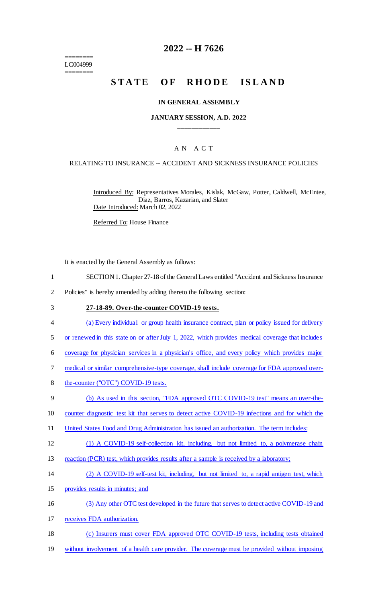======== LC004999 ========

## **2022 -- H 7626**

# STATE OF RHODE ISLAND

#### **IN GENERAL ASSEMBLY**

### **JANUARY SESSION, A.D. 2022 \_\_\_\_\_\_\_\_\_\_\_\_**

## A N A C T

### RELATING TO INSURANCE -- ACCIDENT AND SICKNESS INSURANCE POLICIES

Introduced By: Representatives Morales, Kislak, McGaw, Potter, Caldwell, McEntee, Diaz, Barros, Kazarian, and Slater Date Introduced: March 02, 2022

Referred To: House Finance

It is enacted by the General Assembly as follows:

- 1 SECTION 1. Chapter 27-18 of the General Laws entitled "Accident and Sickness Insurance
- 2 Policies" is hereby amended by adding thereto the following section:
- 3 **27-18-89. Over-the-counter COVID-19 tests.**
- 4 (a) Every individual or group health insurance contract, plan or policy issued for delivery
- 5 or renewed in this state on or after July 1, 2022, which provides medical coverage that includes
- 6 coverage for physician services in a physician's office, and every policy which provides major
- 7 medical or similar comprehensive-type coverage, shall include coverage for FDA approved over-
- 8 the-counter ("OTC") COVID-19 tests.
- 9 (b) As used in this section, "FDA approved OTC COVID-19 test" means an over-the-
- 10 counter diagnostic test kit that serves to detect active COVID-19 infections and for which the
- 11 United States Food and Drug Administration has issued an authorization. The term includes:
- 12 (1) A COVID-19 self-collection kit, including, but not limited to, a polymerase chain
- 13 reaction (PCR) test, which provides results after a sample is received by a laboratory;
- 14 (2) A COVID-19 self-test kit, including, but not limited to, a rapid antigen test, which
- 15 provides results in minutes; and
- 16 (3) Any other OTC test developed in the future that serves to detect active COVID-19 and
- 17 receives FDA authorization.
- 18 (c) Insurers must cover FDA approved OTC COVID-19 tests, including tests obtained
- 19 without involvement of a health care provider. The coverage must be provided without imposing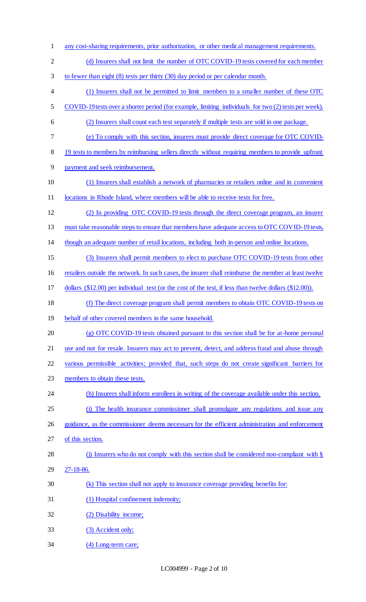- any cost-sharing requirements, prior authorization, or other medical management requirements. 2 (d) Insurers shall not limit the number of OTC COVID-19 tests covered for each member to fewer than eight (8) tests per thirty (30) day period or per calendar month. (1) Insurers shall not be permitted to limit members to a smaller number of these OTC COVID-19 tests over a shorter period (for example, limiting individuals for two (2) tests per week). (2) Insurers shall count each test separately if multiple tests are sold in one package. (e) To comply with this section, insurers must provide direct coverage for OTC COVID-8 19 tests to members by reimbursing sellers directly without requiring members to provide upfront payment and seek reimbursement. (1) Insurers shall establish a network of pharmacies or retailers online and in convenient 11 locations in Rhode Island, where members will be able to receive tests for free. (2) In providing OTC COVID-19 tests through the direct coverage program, an insurer 13 must take reasonable steps to ensure that members have adequate access to OTC COVID-19 tests, though an adequate number of retail locations, including both in-person and online locations. (3) Insurers shall permit members to elect to purchase OTC COVID-19 tests from other retailers outside the network. In such cases, the insurer shall reimburse the member at least twelve dollars (\$12.00) per individual test (or the cost of the test, if less than twelve dollars (\$12.00)). (f) The direct coverage program shall permit members to obtain OTC COVID-19 tests on behalf of other covered members in the same household. (g) OTC COVID-19 tests obtained pursuant to this section shall be for at-home personal 21 use and not for resale. Insurers may act to prevent, detect, and address fraud and abuse through various permissible activities; provided that, such steps do not create significant barriers for members to obtain these tests. 24 (h) Insurers shall inform enrollees in writing of the coverage available under this section. (i) The health insurance commissioner shall promulgate any regulations and issue any 26 guidance, as the commissioner deems necessary for the efficient administration and enforcement of this section. 28 (j) Insurers who do not comply with this section shall be considered non-compliant with § 27-18-86. (k) This section shall not apply to insurance coverage providing benefits for: (1) Hospital confinement indemnity; (2) Disability income; (3) Accident only;
- (4) Long-term care;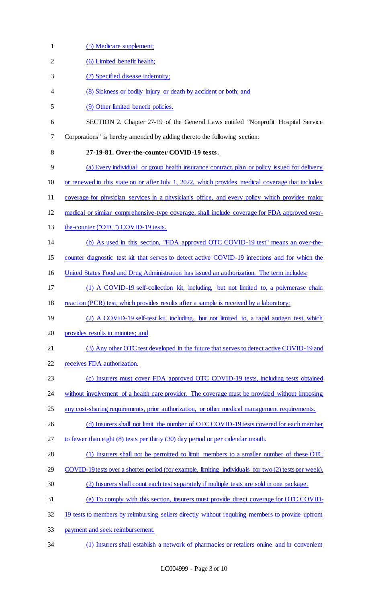| $\mathbf{1}$   | (5) Medicare supplement;                                                                             |
|----------------|------------------------------------------------------------------------------------------------------|
| $\overline{2}$ | (6) Limited benefit health;                                                                          |
| 3              | (7) Specified disease indemnity;                                                                     |
| 4              | (8) Sickness or bodily injury or death by accident or both; and                                      |
| 5              | (9) Other limited benefit policies.                                                                  |
| 6              | SECTION 2. Chapter 27-19 of the General Laws entitled "Nonprofit Hospital Service"                   |
| 7              | Corporations" is hereby amended by adding thereto the following section:                             |
| 8              | 27-19-81. Over-the-counter COVID-19 tests.                                                           |
| 9              | (a) Every individual or group health insurance contract, plan or policy issued for delivery          |
| 10             | or renewed in this state on or after July 1, 2022, which provides medical coverage that includes     |
| 11             | coverage for physician services in a physician's office, and every policy which provides major       |
| 12             | medical or similar comprehensive-type coverage, shall include coverage for FDA approved over-        |
| 13             | the-counter ("OTC") COVID-19 tests.                                                                  |
| 14             | (b) As used in this section, "FDA approved OTC COVID-19 test" means an over-the-                     |
| 15             | counter diagnostic test kit that serves to detect active COVID-19 infections and for which the       |
| 16             | United States Food and Drug Administration has issued an authorization. The term includes:           |
| 17             | (1) A COVID-19 self-collection kit, including, but not limited to, a polymerase chain                |
| 18             | reaction (PCR) test, which provides results after a sample is received by a laboratory;              |
| 19             | (2) A COVID-19 self-test kit, including, but not limited to, a rapid antigen test, which             |
| 20             | provides results in minutes; and                                                                     |
| 21             | (3) Any other OTC test developed in the future that serves to detect active COVID-19 and             |
| 22             | receives FDA authorization.                                                                          |
| 23             | (c) Insurers must cover FDA approved OTC COVID-19 tests, including tests obtained                    |
| 24             | without involvement of a health care provider. The coverage must be provided without imposing        |
| 25             | any cost-sharing requirements, prior authorization, or other medical management requirements.        |
| 26             | (d) Insurers shall not limit the number of OTC COVID-19 tests covered for each member                |
| 27             | to fewer than eight $(8)$ tests per thirty $(30)$ day period or per calendar month.                  |
| 28             | (1) Insurers shall not be permitted to limit members to a smaller number of these OTC                |
| 29             | COVID-19 tests over a shorter period (for example, limiting individuals for two (2) tests per week). |
| 30             | (2) Insurers shall count each test separately if multiple tests are sold in one package.             |
| 31             | (e) To comply with this section, insurers must provide direct coverage for OTC COVID-                |
| 32             | 19 tests to members by reimbursing sellers directly without requiring members to provide upfront     |
| 33             | payment and seek reimbursement.                                                                      |
|                |                                                                                                      |

34 (1) Insurers shall establish a network of pharmacies or retailers online and in convenient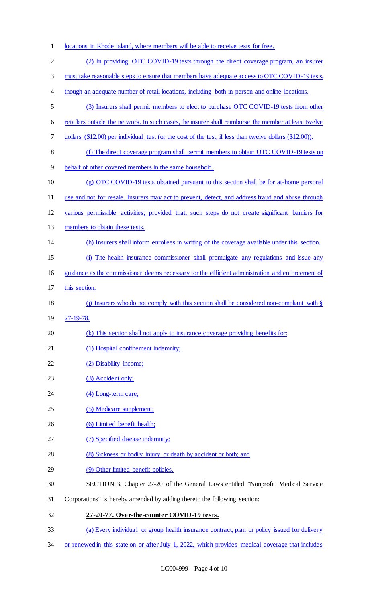locations in Rhode Island, where members will be able to receive tests for free. (2) In providing OTC COVID-19 tests through the direct coverage program, an insurer 3 must take reasonable steps to ensure that members have adequate access to OTC COVID-19 tests, though an adequate number of retail locations, including both in-person and online locations. (3) Insurers shall permit members to elect to purchase OTC COVID-19 tests from other 6 retailers outside the network. In such cases, the insurer shall reimburse the member at least twelve dollars (\$12.00) per individual test (or the cost of the test, if less than twelve dollars (\$12.00)). (f) The direct coverage program shall permit members to obtain OTC COVID-19 tests on behalf of other covered members in the same household. (g) OTC COVID-19 tests obtained pursuant to this section shall be for at-home personal use and not for resale. Insurers may act to prevent, detect, and address fraud and abuse through various permissible activities; provided that, such steps do not create significant barriers for 13 members to obtain these tests. (h) Insurers shall inform enrollees in writing of the coverage available under this section. (i) The health insurance commissioner shall promulgate any regulations and issue any guidance as the commissioner deems necessary for the efficient administration and enforcement of this section. (j) Insurers who do not comply with this section shall be considered non-compliant with § 27-19-78. (k) This section shall not apply to insurance coverage providing benefits for: 21 (1) Hospital confinement indemnity; 22 (2) Disability income; 23 (3) Accident only; 24 (4) Long-term care; (5) Medicare supplement; 26 (6) Limited benefit health; (7) Specified disease indemnity; (8) Sickness or bodily injury or death by accident or both; and (9) Other limited benefit policies. SECTION 3. Chapter 27-20 of the General Laws entitled "Nonprofit Medical Service Corporations" is hereby amended by adding thereto the following section: **27-20-77. Over-the-counter COVID-19 tests.** (a) Every individual or group health insurance contract, plan or policy issued for delivery

or renewed in this state on or after July 1, 2022, which provides medical coverage that includes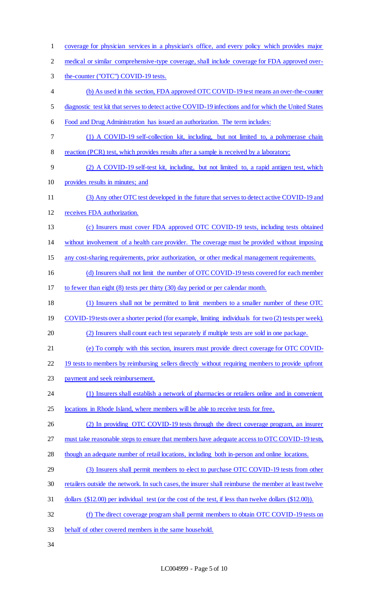- coverage for physician services in a physician's office, and every policy which provides major
- medical or similar comprehensive-type coverage, shall include coverage for FDA approved over-
- the-counter ("OTC") COVID-19 tests.
- (b) As used in this section, FDA approved OTC COVID-19 test means an over-the-counter
- diagnostic test kit that serves to detect active COVID-19 infections and for which the United States
- Food and Drug Administration has issued an authorization. The term includes:
- (1) A COVID-19 self-collection kit, including, but not limited to, a polymerase chain
- 8 reaction (PCR) test, which provides results after a sample is received by a laboratory;
- (2) A COVID-19 self-test kit, including, but not limited to, a rapid antigen test, which
- provides results in minutes; and
- (3) Any other OTC test developed in the future that serves to detect active COVID-19 and
- receives FDA authorization.
- (c) Insurers must cover FDA approved OTC COVID-19 tests, including tests obtained
- without involvement of a health care provider. The coverage must be provided without imposing
- any cost-sharing requirements, prior authorization, or other medical management requirements.
- (d) Insurers shall not limit the number of OTC COVID-19 tests covered for each member
- to fewer than eight (8) tests per thirty (30) day period or per calendar month.
- (1) Insurers shall not be permitted to limit members to a smaller number of these OTC
- 19 COVID-19 tests over a shorter period (for example, limiting individuals for two (2) tests per week).
- (2) Insurers shall count each test separately if multiple tests are sold in one package.
- (e) To comply with this section, insurers must provide direct coverage for OTC COVID-
- 22 19 tests to members by reimbursing sellers directly without requiring members to provide upfront
- payment and seek reimbursement.
- (1) Insurers shall establish a network of pharmacies or retailers online and in convenient locations in Rhode Island, where members will be able to receive tests for free.
- (2) In providing OTC COVID-19 tests through the direct coverage program, an insurer
- 27 must take reasonable steps to ensure that members have adequate access to OTC COVID-19 tests,
- 28 though an adequate number of retail locations, including both in-person and online locations.
- (3) Insurers shall permit members to elect to purchase OTC COVID-19 tests from other
- retailers outside the network. In such cases, the insurer shall reimburse the member at least twelve
- dollars (\$12.00) per individual test (or the cost of the test, if less than twelve dollars (\$12.00)).
- (f) The direct coverage program shall permit members to obtain OTC COVID-19 tests on
- behalf of other covered members in the same household.
-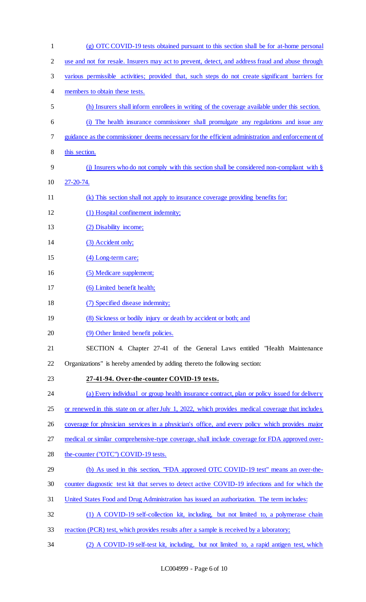| $\mathbf{1}$   | (g) OTC COVID-19 tests obtained pursuant to this section shall be for at-home personal           |
|----------------|--------------------------------------------------------------------------------------------------|
| $\overline{2}$ | use and not for resale. Insurers may act to prevent, detect, and address fraud and abuse through |
| 3              | various permissible activities; provided that, such steps do not create significant barriers for |
| 4              | members to obtain these tests.                                                                   |
| 5              | (h) Insurers shall inform enrollees in writing of the coverage available under this section.     |
| 6              | (i) The health insurance commissioner shall promulgate any regulations and issue any             |
| 7              | guidance as the commissioner deems necessary for the efficient administration and enforcement of |
| $8\,$          | this section.                                                                                    |
| 9              | (j) Insurers who do not comply with this section shall be considered non-compliant with $\S$     |
| 10             | 27-20-74.                                                                                        |
| 11             | (k) This section shall not apply to insurance coverage providing benefits for:                   |
| 12             | (1) Hospital confinement indemnity;                                                              |
| 13             | (2) Disability income;                                                                           |
| 14             | (3) Accident only;                                                                               |
| 15             | (4) Long-term care;                                                                              |
| 16             | (5) Medicare supplement;                                                                         |
| 17             | (6) Limited benefit health;                                                                      |
| 18             | (7) Specified disease indemnity;                                                                 |
| 19             | (8) Sickness or bodily injury or death by accident or both; and                                  |
| 20             | (9) Other limited benefit policies.                                                              |
| 21             | SECTION 4. Chapter 27-41 of the General Laws entitled "Health Maintenance"                       |
| 22             | Organizations" is hereby amended by adding thereto the following section:                        |
| 23             | 27-41-94. Over-the-counter COVID-19 tests.                                                       |
| 24             | (a) Every individual or group health insurance contract, plan or policy issued for delivery      |
| 25             | or renewed in this state on or after July 1, 2022, which provides medical coverage that includes |
| 26             | coverage for physician services in a physician's office, and every policy which provides major   |
| 27             | medical or similar comprehensive-type coverage, shall include coverage for FDA approved over-    |
| 28             | the-counter ("OTC") COVID-19 tests.                                                              |
| 29             | (b) As used in this section, "FDA approved OTC COVID-19 test" means an over-the-                 |
| 30             | counter diagnostic test kit that serves to detect active COVID-19 infections and for which the   |
| 31             | United States Food and Drug Administration has issued an authorization. The term includes:       |
| 32             | (1) A COVID-19 self-collection kit, including, but not limited to, a polymerase chain            |
| 33             | reaction (PCR) test, which provides results after a sample is received by a laboratory;          |
| 34             | (2) A COVID-19 self-test kit, including, but not limited to, a rapid antigen test, which         |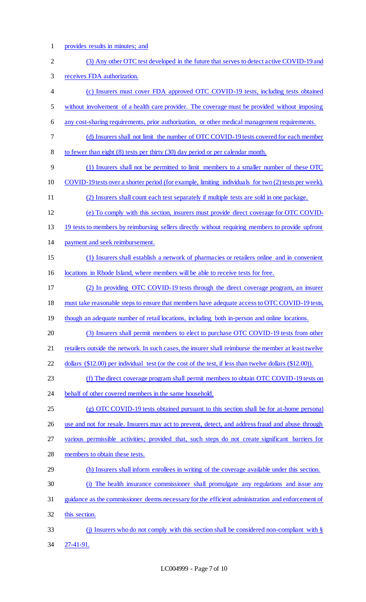provides results in minutes; and

 (3) Any other OTC test developed in the future that serves to detect active COVID-19 and receives FDA authorization. (c) Insurers must cover FDA approved OTC COVID-19 tests, including tests obtained without involvement of a health care provider. The coverage must be provided without imposing any cost-sharing requirements, prior authorization, or other medical management requirements. (d) Insurers shall not limit the number of OTC COVID-19 tests covered for each member to fewer than eight (8) tests per thirty (30) day period or per calendar month. (1) Insurers shall not be permitted to limit members to a smaller number of these OTC COVID-19 tests over a shorter period (for example, limiting individuals for two (2) tests per week). (2) Insurers shall count each test separately if multiple tests are sold in one package. (e) To comply with this section, insurers must provide direct coverage for OTC COVID- 19 tests to members by reimbursing sellers directly without requiring members to provide upfront payment and seek reimbursement. (1) Insurers shall establish a network of pharmacies or retailers online and in convenient locations in Rhode Island, where members will be able to receive tests for free. (2) In providing OTC COVID-19 tests through the direct coverage program, an insurer must take reasonable steps to ensure that members have adequate access to OTC COVID-19 tests, though an adequate number of retail locations, including both in-person and online locations. (3) Insurers shall permit members to elect to purchase OTC COVID-19 tests from other retailers outside the network. In such cases, the insurer shall reimburse the member at least twelve dollars (\$12.00) per individual test (or the cost of the test, if less than twelve dollars (\$12.00)). (f) The direct coverage program shall permit members to obtain OTC COVID-19 tests on behalf of other covered members in the same household. (g) OTC COVID-19 tests obtained pursuant to this section shall be for at-home personal use and not for resale. Insurers may act to prevent, detect, and address fraud and abuse through various permissible activities; provided that, such steps do not create significant barriers for members to obtain these tests. (h) Insurers shall inform enrollees in writing of the coverage available under this section. (i) The health insurance commissioner shall promulgate any regulations and issue any guidance as the commissioner deems necessary for the efficient administration and enforcement of this section. (j) Insurers who do not comply with this section shall be considered non-compliant with § 27-41-91.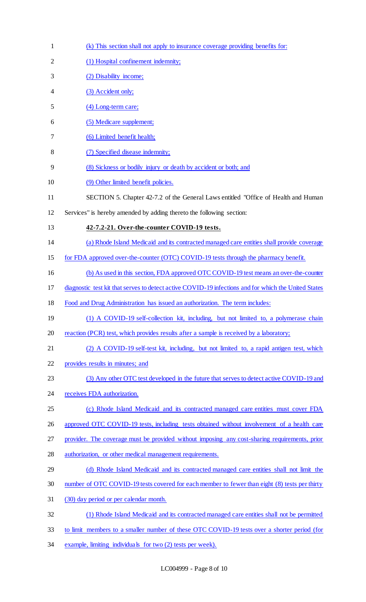| $\mathbf{1}$   | (k) This section shall not apply to insurance coverage providing benefits for:                       |
|----------------|------------------------------------------------------------------------------------------------------|
| $\overline{2}$ | (1) Hospital confinement indemnity;                                                                  |
| 3              | (2) Disability income;                                                                               |
| 4              | (3) Accident only;                                                                                   |
| 5              | (4) Long-term care;                                                                                  |
| 6              | (5) Medicare supplement;                                                                             |
| 7              | (6) Limited benefit health;                                                                          |
| 8              | (7) Specified disease indemnity;                                                                     |
| 9              | (8) Sickness or bodily injury or death by accident or both; and                                      |
| 10             | (9) Other limited benefit policies.                                                                  |
| 11             | SECTION 5. Chapter 42-7.2 of the General Laws entitled "Office of Health and Human                   |
| 12             | Services" is hereby amended by adding thereto the following section:                                 |
| 13             | 42-7.2-21. Over-the-counter COVID-19 tests.                                                          |
| 14             | (a) Rhode Island Medicaid and its contracted managed care entities shall provide coverage            |
| 15             | for FDA approved over-the-counter (OTC) COVID-19 tests through the pharmacy benefit.                 |
| 16             | (b) As used in this section, FDA approved OTC COVID-19 test means an over-the-counter                |
| 17             | diagnostic test kit that serves to detect active COVID-19 infections and for which the United States |
| 18             | Food and Drug Administration has issued an authorization. The term includes:                         |
| 19             | (1) A COVID-19 self-collection kit, including, but not limited to, a polymerase chain                |
| 20             | reaction (PCR) test, which provides results after a sample is received by a laboratory;              |
| 21             | (2) A COVID-19 self-test kit, including, but not limited to, a rapid antigen test, which             |
| 22             | provides results in minutes; and                                                                     |
| 23             | (3) Any other OTC test developed in the future that serves to detect active COVID-19 and             |
| 24             | receives FDA authorization.                                                                          |
| 25             | (c) Rhode Island Medicaid and its contracted managed care entities must cover FDA                    |
| 26             | approved OTC COVID-19 tests, including tests obtained without involvement of a health care           |
| 27             | provider. The coverage must be provided without imposing any cost-sharing requirements, prior        |
| 28             | authorization, or other medical management requirements.                                             |
| 29             | (d) Rhode Island Medicaid and its contracted managed care entities shall not limit the               |
| 30             | number of OTC COVID-19 tests covered for each member to fewer than eight (8) tests per thirty        |
| 31             | (30) day period or per calendar month.                                                               |
| 32             | (1) Rhode Island Medicaid and its contracted managed care entities shall not be permitted            |
| 33             | to limit members to a smaller number of these OTC COVID-19 tests over a shorter period (for          |
| 34             | example, limiting individuals for two (2) tests per week).                                           |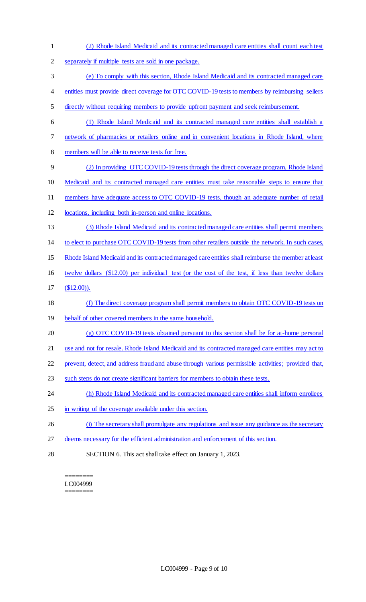(2) Rhode Island Medicaid and its contracted managed care entities shall count each test separately if multiple tests are sold in one package. (e) To comply with this section, Rhode Island Medicaid and its contracted managed care entities must provide direct coverage for OTC COVID-19 tests to members by reimbursing sellers directly without requiring members to provide upfront payment and seek reimbursement. (1) Rhode Island Medicaid and its contracted managed care entities shall establish a network of pharmacies or retailers online and in convenient locations in Rhode Island, where members will be able to receive tests for free. (2) In providing OTC COVID-19 tests through the direct coverage program, Rhode Island Medicaid and its contracted managed care entities must take reasonable steps to ensure that members have adequate access to OTC COVID-19 tests, though an adequate number of retail locations, including both in-person and online locations. (3) Rhode Island Medicaid and its contracted managed care entities shall permit members to elect to purchase OTC COVID-19 tests from other retailers outside the network. In such cases, Rhode Island Medicaid and its contracted managed care entities shall reimburse the member at least twelve dollars (\$12.00) per individual test (or the cost of the test, if less than twelve dollars (\$12.00)). (f) The direct coverage program shall permit members to obtain OTC COVID-19 tests on behalf of other covered members in the same household. (g) OTC COVID-19 tests obtained pursuant to this section shall be for at-home personal 21 use and not for resale. Rhode Island Medicaid and its contracted managed care entities may act to prevent, detect, and address fraud and abuse through various permissible activities; provided that, such steps do not create significant barriers for members to obtain these tests. 24 (h) Rhode Island Medicaid and its contracted managed care entities shall inform enrollees in writing of the coverage available under this section. (i) The secretary shall promulgate any regulations and issue any guidance as the secretary deems necessary for the efficient administration and enforcement of this section. SECTION 6. This act shall take effect on January 1, 2023.

#### ======== LC004999 ========